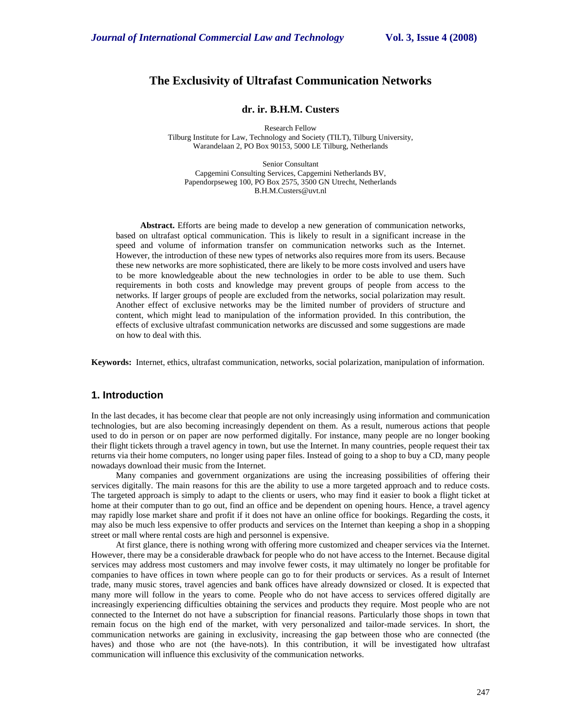# **The Exclusivity of Ultrafast Communication Networks**

### **dr. ir. B.H.M. Custers**

Research Fellow Tilburg Institute for Law, Technology and Society (TILT), Tilburg University, Warandelaan 2, PO Box 90153, 5000 LE Tilburg, Netherlands

Senior Consultant Capgemini Consulting Services, Capgemini Netherlands BV, Papendorpseweg 100, PO Box 2575, 3500 GN Utrecht, Netherlands B.H.M.Custers@uvt.nl

**Abstract.** Efforts are being made to develop a new generation of communication networks, based on ultrafast optical communication. This is likely to result in a significant increase in the speed and volume of information transfer on communication networks such as the Internet. However, the introduction of these new types of networks also requires more from its users. Because these new networks are more sophisticated, there are likely to be more costs involved and users have to be more knowledgeable about the new technologies in order to be able to use them. Such requirements in both costs and knowledge may prevent groups of people from access to the networks. If larger groups of people are excluded from the networks, social polarization may result. Another effect of exclusive networks may be the limited number of providers of structure and content, which might lead to manipulation of the information provided. In this contribution, the effects of exclusive ultrafast communication networks are discussed and some suggestions are made on how to deal with this.

**Keywords:** Internet, ethics, ultrafast communication, networks, social polarization, manipulation of information.

# **1. Introduction**

In the last decades, it has become clear that people are not only increasingly using information and communication technologies, but are also becoming increasingly dependent on them. As a result, numerous actions that people used to do in person or on paper are now performed digitally. For instance, many people are no longer booking their flight tickets through a travel agency in town, but use the Internet. In many countries, people request their tax returns via their home computers, no longer using paper files. Instead of going to a shop to buy a CD, many people nowadays download their music from the Internet.

Many companies and government organizations are using the increasing possibilities of offering their services digitally. The main reasons for this are the ability to use a more targeted approach and to reduce costs. The targeted approach is simply to adapt to the clients or users, who may find it easier to book a flight ticket at home at their computer than to go out, find an office and be dependent on opening hours. Hence, a travel agency may rapidly lose market share and profit if it does not have an online office for bookings. Regarding the costs, it may also be much less expensive to offer products and services on the Internet than keeping a shop in a shopping street or mall where rental costs are high and personnel is expensive.

At first glance, there is nothing wrong with offering more customized and cheaper services via the Internet. However, there may be a considerable drawback for people who do not have access to the Internet. Because digital services may address most customers and may involve fewer costs, it may ultimately no longer be profitable for companies to have offices in town where people can go to for their products or services. As a result of Internet trade, many music stores, travel agencies and bank offices have already downsized or closed. It is expected that many more will follow in the years to come. People who do not have access to services offered digitally are increasingly experiencing difficulties obtaining the services and products they require. Most people who are not connected to the Internet do not have a subscription for financial reasons. Particularly those shops in town that remain focus on the high end of the market, with very personalized and tailor-made services. In short, the communication networks are gaining in exclusivity, increasing the gap between those who are connected (the haves) and those who are not (the have-nots). In this contribution, it will be investigated how ultrafast communication will influence this exclusivity of the communication networks.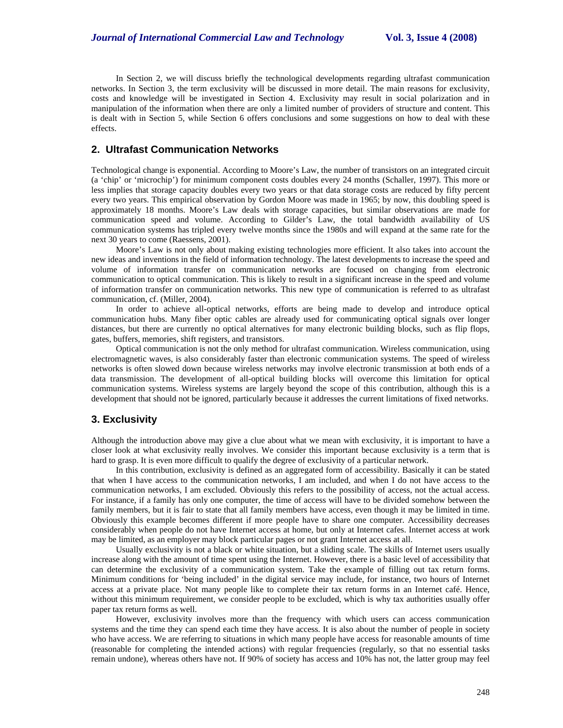In Section 2, we will discuss briefly the technological developments regarding ultrafast communication networks. In Section 3, the term exclusivity will be discussed in more detail. The main reasons for exclusivity, costs and knowledge will be investigated in Section 4. Exclusivity may result in social polarization and in manipulation of the information when there are only a limited number of providers of structure and content. This is dealt with in Section 5, while Section 6 offers conclusions and some suggestions on how to deal with these effects.

# **2. Ultrafast Communication Networks**

Technological change is exponential. According to Moore's Law, the number of transistors on an integrated circuit (a 'chip' or 'microchip') for minimum component costs doubles every 24 months (Schaller, 1997). This more or less implies that storage capacity doubles every two years or that data storage costs are reduced by fifty percent every two years. This empirical observation by Gordon Moore was made in 1965; by now, this doubling speed is approximately 18 months. Moore's Law deals with storage capacities, but similar observations are made for communication speed and volume. According to Gilder's Law, the total bandwidth availability of US communication systems has tripled every twelve months since the 1980s and will expand at the same rate for the next 30 years to come (Raessens, 2001).

Moore's Law is not only about making existing technologies more efficient. It also takes into account the new ideas and inventions in the field of information technology. The latest developments to increase the speed and volume of information transfer on communication networks are focused on changing from electronic communication to optical communication. This is likely to result in a significant increase in the speed and volume of information transfer on communication networks. This new type of communication is referred to as ultrafast communication, cf. (Miller, 2004).

In order to achieve all-optical networks, efforts are being made to develop and introduce optical communication hubs. Many fiber optic cables are already used for communicating optical signals over longer distances, but there are currently no optical alternatives for many electronic building blocks, such as flip flops, gates, buffers, memories, shift registers, and transistors.

Optical communication is not the only method for ultrafast communication. Wireless communication, using electromagnetic waves, is also considerably faster than electronic communication systems. The speed of wireless networks is often slowed down because wireless networks may involve electronic transmission at both ends of a data transmission. The development of all-optical building blocks will overcome this limitation for optical communication systems. Wireless systems are largely beyond the scope of this contribution, although this is a development that should not be ignored, particularly because it addresses the current limitations of fixed networks.

### **3. Exclusivity**

Although the introduction above may give a clue about what we mean with exclusivity, it is important to have a closer look at what exclusivity really involves. We consider this important because exclusivity is a term that is hard to grasp. It is even more difficult to qualify the degree of exclusivity of a particular network.

In this contribution, exclusivity is defined as an aggregated form of accessibility. Basically it can be stated that when I have access to the communication networks, I am included, and when I do not have access to the communication networks, I am excluded. Obviously this refers to the possibility of access, not the actual access. For instance, if a family has only one computer, the time of access will have to be divided somehow between the family members, but it is fair to state that all family members have access, even though it may be limited in time. Obviously this example becomes different if more people have to share one computer. Accessibility decreases considerably when people do not have Internet access at home, but only at Internet cafes. Internet access at work may be limited, as an employer may block particular pages or not grant Internet access at all.

Usually exclusivity is not a black or white situation, but a sliding scale. The skills of Internet users usually increase along with the amount of time spent using the Internet. However, there is a basic level of accessibility that can determine the exclusivity of a communication system. Take the example of filling out tax return forms. Minimum conditions for 'being included' in the digital service may include, for instance, two hours of Internet access at a private place. Not many people like to complete their tax return forms in an Internet café. Hence, without this minimum requirement, we consider people to be excluded, which is why tax authorities usually offer paper tax return forms as well.

However, exclusivity involves more than the frequency with which users can access communication systems and the time they can spend each time they have access. It is also about the number of people in society who have access. We are referring to situations in which many people have access for reasonable amounts of time (reasonable for completing the intended actions) with regular frequencies (regularly, so that no essential tasks remain undone), whereas others have not. If 90% of society has access and 10% has not, the latter group may feel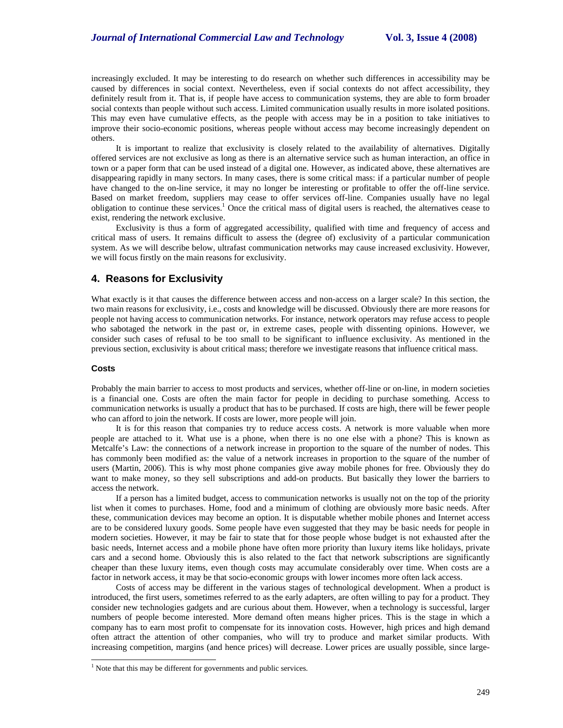increasingly excluded. It may be interesting to do research on whether such differences in accessibility may be caused by differences in social context. Nevertheless, even if social contexts do not affect accessibility, they definitely result from it. That is, if people have access to communication systems, they are able to form broader social contexts than people without such access. Limited communication usually results in more isolated positions. This may even have cumulative effects, as the people with access may be in a position to take initiatives to improve their socio-economic positions, whereas people without access may become increasingly dependent on others.

It is important to realize that exclusivity is closely related to the availability of alternatives. Digitally offered services are not exclusive as long as there is an alternative service such as human interaction, an office in town or a paper form that can be used instead of a digital one. However, as indicated above, these alternatives are disappearing rapidly in many sectors. In many cases, there is some critical mass: if a particular number of people have changed to the on-line service, it may no longer be interesting or profitable to offer the off-line service. Based on market freedom, suppliers may cease to offer services off-line. Companies usually have no legal obligation to continue these services.<sup>1</sup> Once the critical mass of digital users is reached, the alternatives cease to exist, rendering the network exclusive.

Exclusivity is thus a form of aggregated accessibility, qualified with time and frequency of access and critical mass of users. It remains difficult to assess the (degree of) exclusivity of a particular communication system. As we will describe below, ultrafast communication networks may cause increased exclusivity. However, we will focus firstly on the main reasons for exclusivity.

### **4. Reasons for Exclusivity**

What exactly is it that causes the difference between access and non-access on a larger scale? In this section, the two main reasons for exclusivity, i.e., costs and knowledge will be discussed. Obviously there are more reasons for people not having access to communication networks. For instance, network operators may refuse access to people who sabotaged the network in the past or, in extreme cases, people with dissenting opinions. However, we consider such cases of refusal to be too small to be significant to influence exclusivity. As mentioned in the previous section, exclusivity is about critical mass; therefore we investigate reasons that influence critical mass.

#### **Costs**

-

Probably the main barrier to access to most products and services, whether off-line or on-line, in modern societies is a financial one. Costs are often the main factor for people in deciding to purchase something. Access to communication networks is usually a product that has to be purchased. If costs are high, there will be fewer people who can afford to join the network. If costs are lower, more people will join.

It is for this reason that companies try to reduce access costs. A network is more valuable when more people are attached to it. What use is a phone, when there is no one else with a phone? This is known as Metcalfe's Law: the connections of a network increase in proportion to the square of the number of nodes. This has commonly been modified as: the value of a network increases in proportion to the square of the number of users (Martin, 2006). This is why most phone companies give away mobile phones for free. Obviously they do want to make money, so they sell subscriptions and add-on products. But basically they lower the barriers to access the network.

If a person has a limited budget, access to communication networks is usually not on the top of the priority list when it comes to purchases. Home, food and a minimum of clothing are obviously more basic needs. After these, communication devices may become an option. It is disputable whether mobile phones and Internet access are to be considered luxury goods. Some people have even suggested that they may be basic needs for people in modern societies. However, it may be fair to state that for those people whose budget is not exhausted after the basic needs, Internet access and a mobile phone have often more priority than luxury items like holidays, private cars and a second home. Obviously this is also related to the fact that network subscriptions are significantly cheaper than these luxury items, even though costs may accumulate considerably over time. When costs are a factor in network access, it may be that socio-economic groups with lower incomes more often lack access.

Costs of access may be different in the various stages of technological development. When a product is introduced, the first users, sometimes referred to as the early adapters, are often willing to pay for a product. They consider new technologies gadgets and are curious about them. However, when a technology is successful, larger numbers of people become interested. More demand often means higher prices. This is the stage in which a company has to earn most profit to compensate for its innovation costs. However, high prices and high demand often attract the attention of other companies, who will try to produce and market similar products. With increasing competition, margins (and hence prices) will decrease. Lower prices are usually possible, since large-

<sup>&</sup>lt;sup>1</sup> Note that this may be different for governments and public services.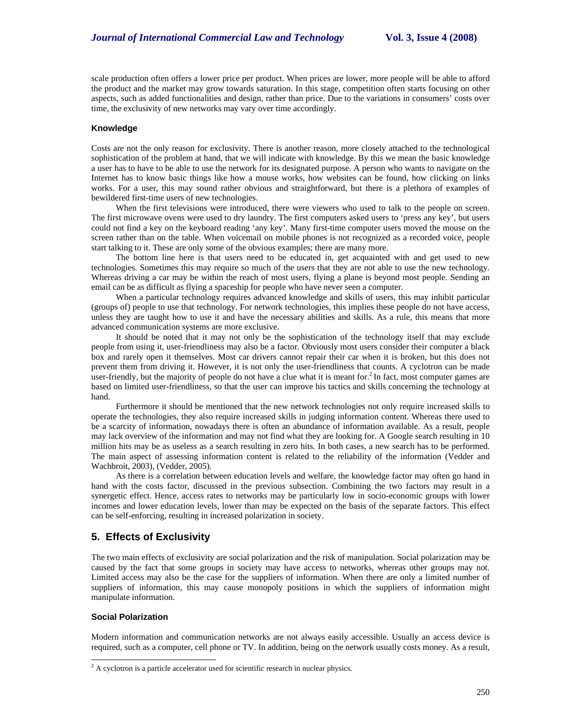scale production often offers a lower price per product. When prices are lower, more people will be able to afford the product and the market may grow towards saturation. In this stage, competition often starts focusing on other aspects, such as added functionalities and design, rather than price. Due to the variations in consumers' costs over time, the exclusivity of new networks may vary over time accordingly.

#### **Knowledge**

Costs are not the only reason for exclusivity. There is another reason, more closely attached to the technological sophistication of the problem at hand, that we will indicate with knowledge. By this we mean the basic knowledge a user has to have to be able to use the network for its designated purpose. A person who wants to navigate on the Internet has to know basic things like how a mouse works, how websites can be found, how clicking on links works. For a user, this may sound rather obvious and straightforward, but there is a plethora of examples of bewildered first-time users of new technologies.

When the first televisions were introduced, there were viewers who used to talk to the people on screen. The first microwave ovens were used to dry laundry. The first computers asked users to 'press any key', but users could not find a key on the keyboard reading 'any key'. Many first-time computer users moved the mouse on the screen rather than on the table. When voicemail on mobile phones is not recognized as a recorded voice, people start talking to it. These are only some of the obvious examples; there are many more.

The bottom line here is that users need to be educated in, get acquainted with and get used to new technologies. Sometimes this may require so much of the users that they are not able to use the new technology. Whereas driving a car may be within the reach of most users, flying a plane is beyond most people. Sending an email can be as difficult as flying a spaceship for people who have never seen a computer.

When a particular technology requires advanced knowledge and skills of users, this may inhibit particular (groups of) people to use that technology. For network technologies, this implies these people do not have access, unless they are taught how to use it and have the necessary abilities and skills. As a rule, this means that more advanced communication systems are more exclusive.

It should be noted that it may not only be the sophistication of the technology itself that may exclude people from using it, user-friendliness may also be a factor. Obviously most users consider their computer a black box and rarely open it themselves. Most car drivers cannot repair their car when it is broken, but this does not prevent them from driving it. However, it is not only the user-friendliness that counts. A cyclotron can be made user-friendly, but the majority of people do not have a clue what it is meant for.<sup>2</sup> In fact, most computer games are based on limited user-friendliness, so that the user can improve his tactics and skills concerning the technology at hand.

Furthermore it should be mentioned that the new network technologies not only require increased skills to operate the technologies, they also require increased skills in judging information content. Whereas there used to be a scarcity of information, nowadays there is often an abundance of information available. As a result, people may lack overview of the information and may not find what they are looking for. A Google search resulting in 10 million hits may be as useless as a search resulting in zero hits. In both cases, a new search has to be performed. The main aspect of assessing information content is related to the reliability of the information (Vedder and Wachbroit, 2003), (Vedder, 2005).

As there is a correlation between education levels and welfare, the knowledge factor may often go hand in hand with the costs factor, discussed in the previous subsection. Combining the two factors may result in a synergetic effect. Hence, access rates to networks may be particularly low in socio-economic groups with lower incomes and lower education levels, lower than may be expected on the basis of the separate factors. This effect can be self-enforcing, resulting in increased polarization in society.

### **5. Effects of Exclusivity**

The two main effects of exclusivity are social polarization and the risk of manipulation. Social polarization may be caused by the fact that some groups in society may have access to networks, whereas other groups may not. Limited access may also be the case for the suppliers of information. When there are only a limited number of suppliers of information, this may cause monopoly positions in which the suppliers of information might manipulate information.

### **Social Polarization**

Modern information and communication networks are not always easily accessible. Usually an access device is required, such as a computer, cell phone or TV. In addition, being on the network usually costs money. As a result,

<sup>&</sup>lt;sup>2</sup> A cyclotron is a particle accelerator used for scientific research in nuclear physics.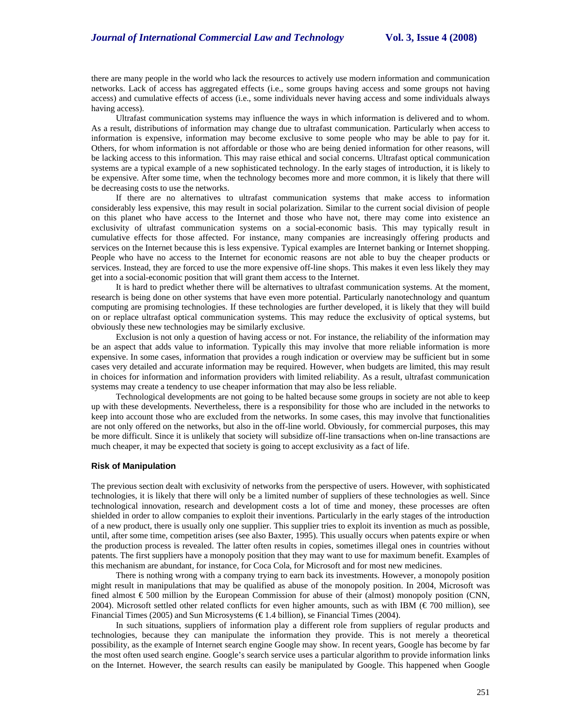there are many people in the world who lack the resources to actively use modern information and communication networks. Lack of access has aggregated effects (i.e., some groups having access and some groups not having access) and cumulative effects of access (i.e., some individuals never having access and some individuals always having access).

Ultrafast communication systems may influence the ways in which information is delivered and to whom. As a result, distributions of information may change due to ultrafast communication. Particularly when access to information is expensive, information may become exclusive to some people who may be able to pay for it. Others, for whom information is not affordable or those who are being denied information for other reasons, will be lacking access to this information. This may raise ethical and social concerns. Ultrafast optical communication systems are a typical example of a new sophisticated technology. In the early stages of introduction, it is likely to be expensive. After some time, when the technology becomes more and more common, it is likely that there will be decreasing costs to use the networks.

If there are no alternatives to ultrafast communication systems that make access to information considerably less expensive, this may result in social polarization. Similar to the current social division of people on this planet who have access to the Internet and those who have not, there may come into existence an exclusivity of ultrafast communication systems on a social-economic basis. This may typically result in cumulative effects for those affected. For instance, many companies are increasingly offering products and services on the Internet because this is less expensive. Typical examples are Internet banking or Internet shopping. People who have no access to the Internet for economic reasons are not able to buy the cheaper products or services. Instead, they are forced to use the more expensive off-line shops. This makes it even less likely they may get into a social-economic position that will grant them access to the Internet.

It is hard to predict whether there will be alternatives to ultrafast communication systems. At the moment, research is being done on other systems that have even more potential. Particularly nanotechnology and quantum computing are promising technologies. If these technologies are further developed, it is likely that they will build on or replace ultrafast optical communication systems. This may reduce the exclusivity of optical systems, but obviously these new technologies may be similarly exclusive.

Exclusion is not only a question of having access or not. For instance, the reliability of the information may be an aspect that adds value to information. Typically this may involve that more reliable information is more expensive. In some cases, information that provides a rough indication or overview may be sufficient but in some cases very detailed and accurate information may be required. However, when budgets are limited, this may result in choices for information and information providers with limited reliability. As a result, ultrafast communication systems may create a tendency to use cheaper information that may also be less reliable.

Technological developments are not going to be halted because some groups in society are not able to keep up with these developments. Nevertheless, there is a responsibility for those who are included in the networks to keep into account those who are excluded from the networks. In some cases, this may involve that functionalities are not only offered on the networks, but also in the off-line world. Obviously, for commercial purposes, this may be more difficult. Since it is unlikely that society will subsidize off-line transactions when on-line transactions are much cheaper, it may be expected that society is going to accept exclusivity as a fact of life.

#### **Risk of Manipulation**

The previous section dealt with exclusivity of networks from the perspective of users. However, with sophisticated technologies, it is likely that there will only be a limited number of suppliers of these technologies as well. Since technological innovation, research and development costs a lot of time and money, these processes are often shielded in order to allow companies to exploit their inventions. Particularly in the early stages of the introduction of a new product, there is usually only one supplier. This supplier tries to exploit its invention as much as possible, until, after some time, competition arises (see also Baxter, 1995). This usually occurs when patents expire or when the production process is revealed. The latter often results in copies, sometimes illegal ones in countries without patents. The first suppliers have a monopoly position that they may want to use for maximum benefit. Examples of this mechanism are abundant, for instance, for Coca Cola, for Microsoft and for most new medicines.

There is nothing wrong with a company trying to earn back its investments. However, a monopoly position might result in manipulations that may be qualified as abuse of the monopoly position. In 2004, Microsoft was fined almost € 500 million by the European Commission for abuse of their (almost) monopoly position (CNN, 2004). Microsoft settled other related conflicts for even higher amounts, such as with IBM ( $\epsilon$ 700 million), see Financial Times (2005) and Sun Microsystems ( $\epsilon$ 1.4 billion), se Financial Times (2004).

In such situations, suppliers of information play a different role from suppliers of regular products and technologies, because they can manipulate the information they provide. This is not merely a theoretical possibility, as the example of Internet search engine Google may show. In recent years, Google has become by far the most often used search engine. Google's search service uses a particular algorithm to provide information links on the Internet. However, the search results can easily be manipulated by Google. This happened when Google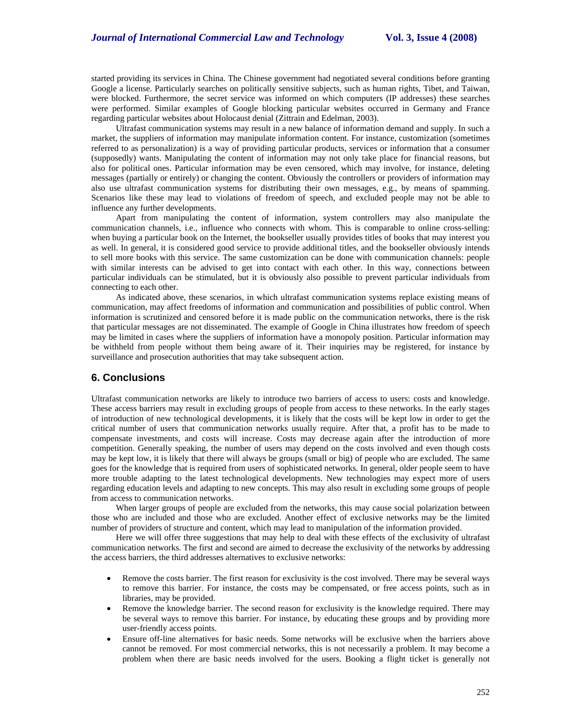started providing its services in China. The Chinese government had negotiated several conditions before granting Google a license. Particularly searches on politically sensitive subjects, such as human rights, Tibet, and Taiwan, were blocked. Furthermore, the secret service was informed on which computers (IP addresses) these searches were performed. Similar examples of Google blocking particular websites occurred in Germany and France regarding particular websites about Holocaust denial (Zittrain and Edelman, 2003).

Ultrafast communication systems may result in a new balance of information demand and supply. In such a market, the suppliers of information may manipulate information content. For instance, customization (sometimes referred to as personalization) is a way of providing particular products, services or information that a consumer (supposedly) wants. Manipulating the content of information may not only take place for financial reasons, but also for political ones. Particular information may be even censored, which may involve, for instance, deleting messages (partially or entirely) or changing the content. Obviously the controllers or providers of information may also use ultrafast communication systems for distributing their own messages, e.g., by means of spamming. Scenarios like these may lead to violations of freedom of speech, and excluded people may not be able to influence any further developments.

Apart from manipulating the content of information, system controllers may also manipulate the communication channels, i.e., influence who connects with whom. This is comparable to online cross-selling: when buying a particular book on the Internet, the bookseller usually provides titles of books that may interest you as well. In general, it is considered good service to provide additional titles, and the bookseller obviously intends to sell more books with this service. The same customization can be done with communication channels: people with similar interests can be advised to get into contact with each other. In this way, connections between particular individuals can be stimulated, but it is obviously also possible to prevent particular individuals from connecting to each other.

As indicated above, these scenarios, in which ultrafast communication systems replace existing means of communication, may affect freedoms of information and communication and possibilities of public control. When information is scrutinized and censored before it is made public on the communication networks, there is the risk that particular messages are not disseminated. The example of Google in China illustrates how freedom of speech may be limited in cases where the suppliers of information have a monopoly position. Particular information may be withheld from people without them being aware of it. Their inquiries may be registered, for instance by surveillance and prosecution authorities that may take subsequent action.

### **6. Conclusions**

Ultrafast communication networks are likely to introduce two barriers of access to users: costs and knowledge. These access barriers may result in excluding groups of people from access to these networks. In the early stages of introduction of new technological developments, it is likely that the costs will be kept low in order to get the critical number of users that communication networks usually require. After that, a profit has to be made to compensate investments, and costs will increase. Costs may decrease again after the introduction of more competition. Generally speaking, the number of users may depend on the costs involved and even though costs may be kept low, it is likely that there will always be groups (small or big) of people who are excluded. The same goes for the knowledge that is required from users of sophisticated networks. In general, older people seem to have more trouble adapting to the latest technological developments. New technologies may expect more of users regarding education levels and adapting to new concepts. This may also result in excluding some groups of people from access to communication networks.

When larger groups of people are excluded from the networks, this may cause social polarization between those who are included and those who are excluded. Another effect of exclusive networks may be the limited number of providers of structure and content, which may lead to manipulation of the information provided.

Here we will offer three suggestions that may help to deal with these effects of the exclusivity of ultrafast communication networks. The first and second are aimed to decrease the exclusivity of the networks by addressing the access barriers, the third addresses alternatives to exclusive networks:

- Remove the costs barrier. The first reason for exclusivity is the cost involved. There may be several ways to remove this barrier. For instance, the costs may be compensated, or free access points, such as in libraries, may be provided.
- Remove the knowledge barrier. The second reason for exclusivity is the knowledge required. There may be several ways to remove this barrier. For instance, by educating these groups and by providing more user-friendly access points.
- Ensure off-line alternatives for basic needs. Some networks will be exclusive when the barriers above cannot be removed. For most commercial networks, this is not necessarily a problem. It may become a problem when there are basic needs involved for the users. Booking a flight ticket is generally not